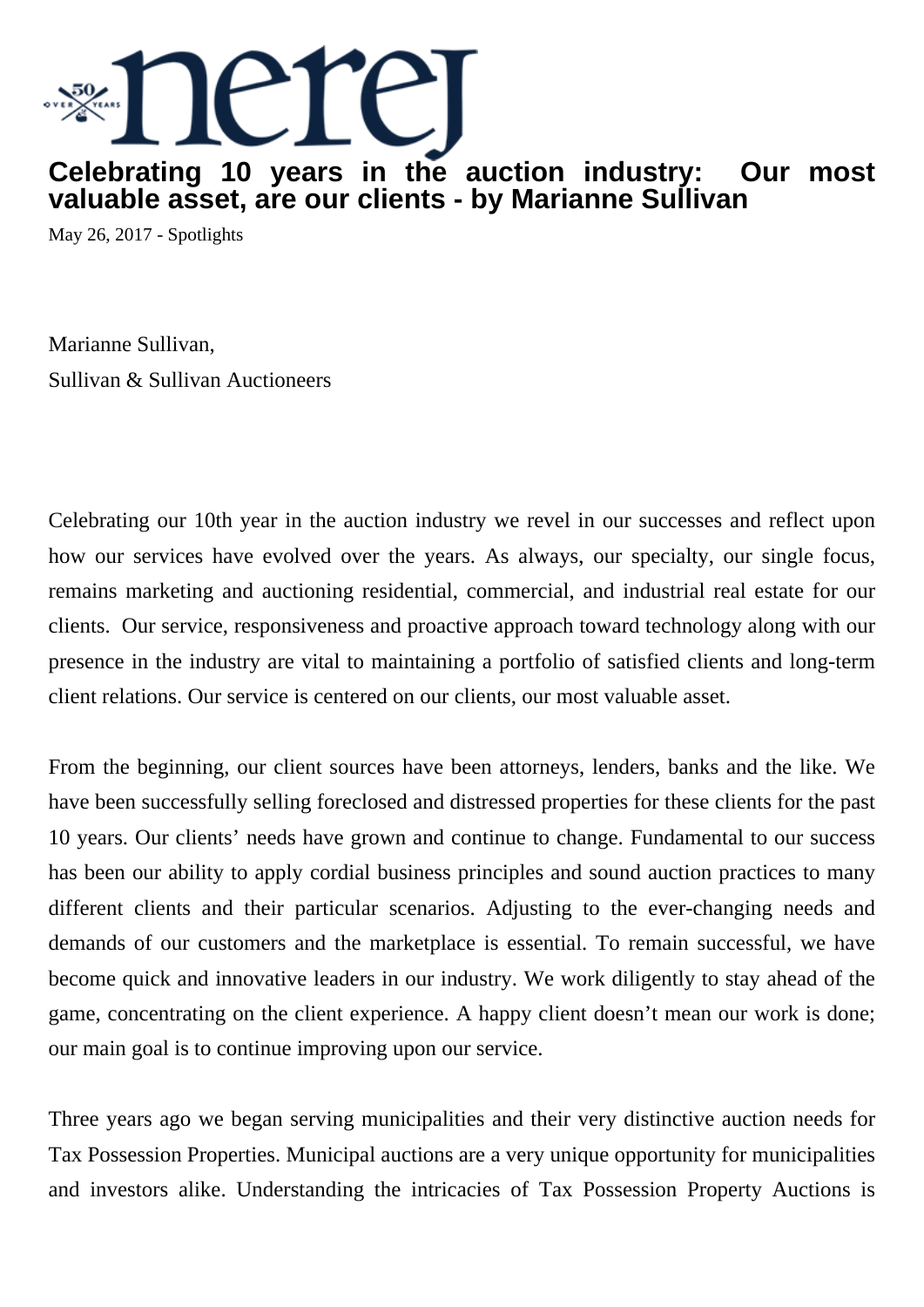

## **Celebrating 10 years in the auction industry: Our most valuable asset, are our clients - by Marianne Sullivan**

May 26, 2017 - Spotlights

Marianne Sullivan, Sullivan & Sullivan Auctioneers

Celebrating our 10th year in the auction industry we revel in our successes and reflect upon how our services have evolved over the years. As always, our specialty, our single focus, remains marketing and auctioning residential, commercial, and industrial real estate for our clients. Our service, responsiveness and proactive approach toward technology along with our presence in the industry are vital to maintaining a portfolio of satisfied clients and long-term client relations. Our service is centered on our clients, our most valuable asset.

From the beginning, our client sources have been attorneys, lenders, banks and the like. We have been successfully selling foreclosed and distressed properties for these clients for the past 10 years. Our clients' needs have grown and continue to change. Fundamental to our success has been our ability to apply cordial business principles and sound auction practices to many different clients and their particular scenarios. Adjusting to the ever-changing needs and demands of our customers and the marketplace is essential. To remain successful, we have become quick and innovative leaders in our industry. We work diligently to stay ahead of the game, concentrating on the client experience. A happy client doesn't mean our work is done; our main goal is to continue improving upon our service.

Three years ago we began serving municipalities and their very distinctive auction needs for Tax Possession Properties. Municipal auctions are a very unique opportunity for municipalities and investors alike. Understanding the intricacies of Tax Possession Property Auctions is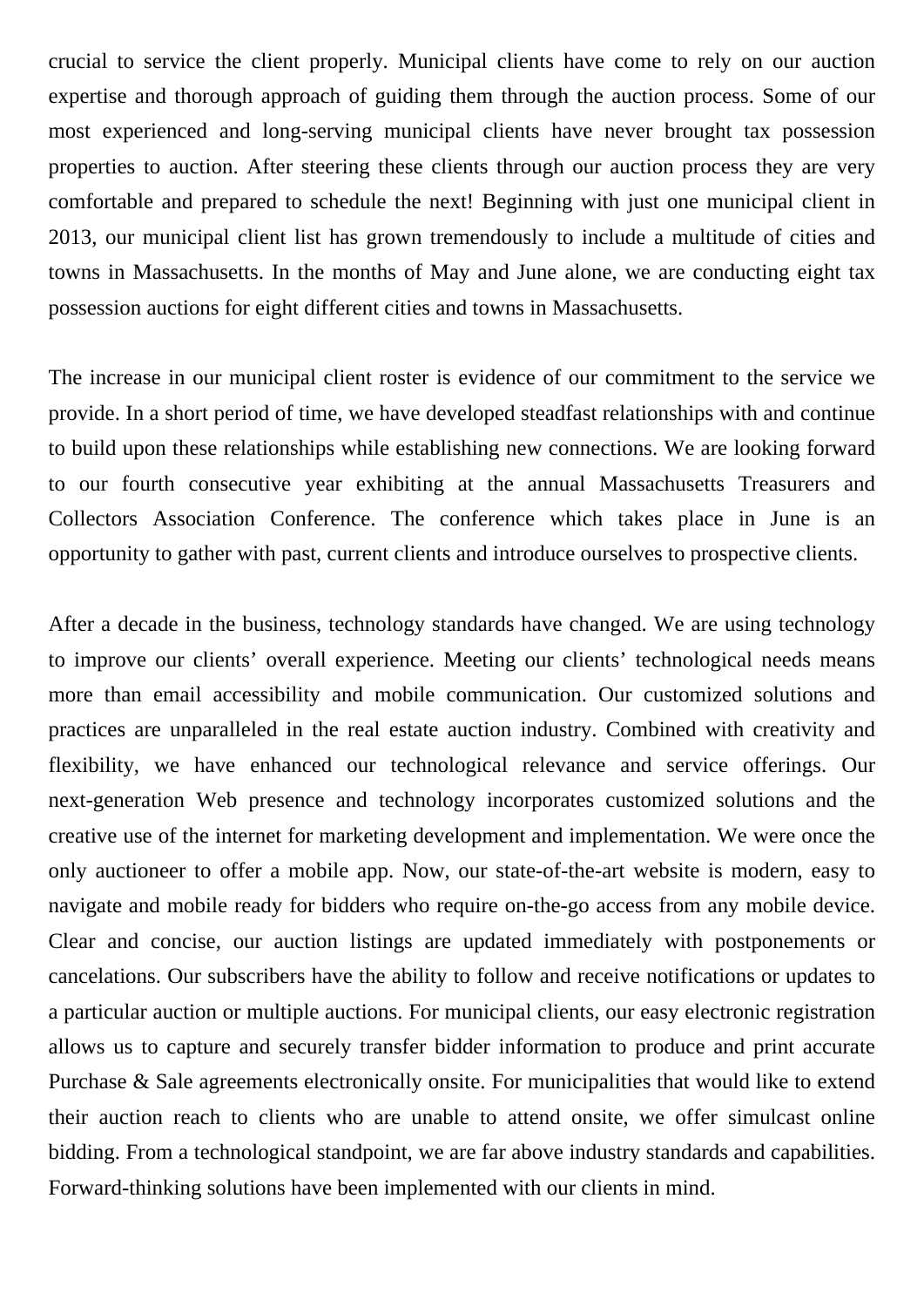crucial to service the client properly. Municipal clients have come to rely on our auction expertise and thorough approach of guiding them through the auction process. Some of our most experienced and long-serving municipal clients have never brought tax possession properties to auction. After steering these clients through our auction process they are very comfortable and prepared to schedule the next! Beginning with just one municipal client in 2013, our municipal client list has grown tremendously to include a multitude of cities and towns in Massachusetts. In the months of May and June alone, we are conducting eight tax possession auctions for eight different cities and towns in Massachusetts.

The increase in our municipal client roster is evidence of our commitment to the service we provide. In a short period of time, we have developed steadfast relationships with and continue to build upon these relationships while establishing new connections. We are looking forward to our fourth consecutive year exhibiting at the annual Massachusetts Treasurers and Collectors Association Conference. The conference which takes place in June is an opportunity to gather with past, current clients and introduce ourselves to prospective clients.

After a decade in the business, technology standards have changed. We are using technology to improve our clients' overall experience. Meeting our clients' technological needs means more than email accessibility and mobile communication. Our customized solutions and practices are unparalleled in the real estate auction industry. Combined with creativity and flexibility, we have enhanced our technological relevance and service offerings. Our next-generation Web presence and technology incorporates customized solutions and the creative use of the internet for marketing development and implementation. We were once the only auctioneer to offer a mobile app. Now, our state-of-the-art website is modern, easy to navigate and mobile ready for bidders who require on-the-go access from any mobile device. Clear and concise, our auction listings are updated immediately with postponements or cancelations. Our subscribers have the ability to follow and receive notifications or updates to a particular auction or multiple auctions. For municipal clients, our easy electronic registration allows us to capture and securely transfer bidder information to produce and print accurate Purchase & Sale agreements electronically onsite. For municipalities that would like to extend their auction reach to clients who are unable to attend onsite, we offer simulcast online bidding. From a technological standpoint, we are far above industry standards and capabilities. Forward-thinking solutions have been implemented with our clients in mind.